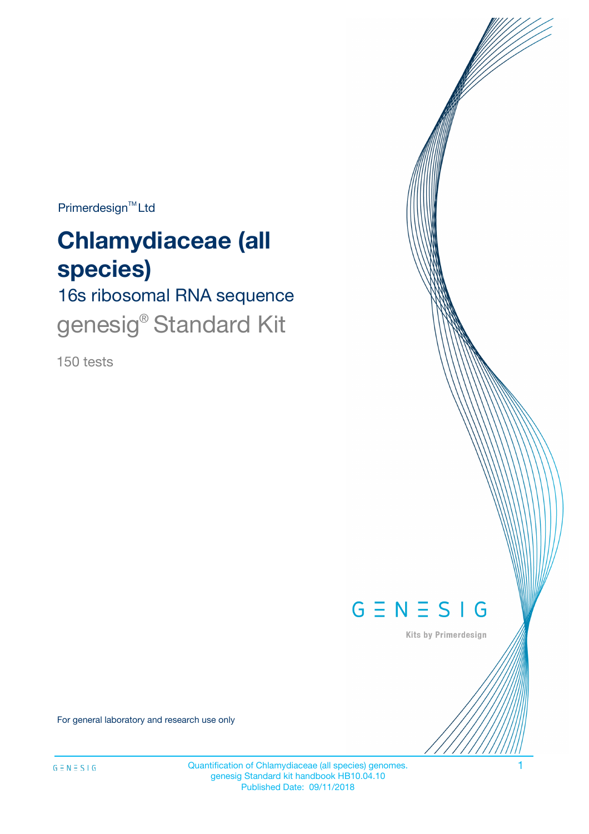Primerdesign<sup>™</sup>Ltd

# **Chlamydiaceae (all species)**

# 16s ribosomal RNA sequence genesig<sup>®</sup> Standard Kit

150 tests



Kits by Primerdesign

For general laboratory and research use only

Quantification of Chlamydiaceae (all species) genomes. 1 genesig Standard kit handbook HB10.04.10 Published Date: 09/11/2018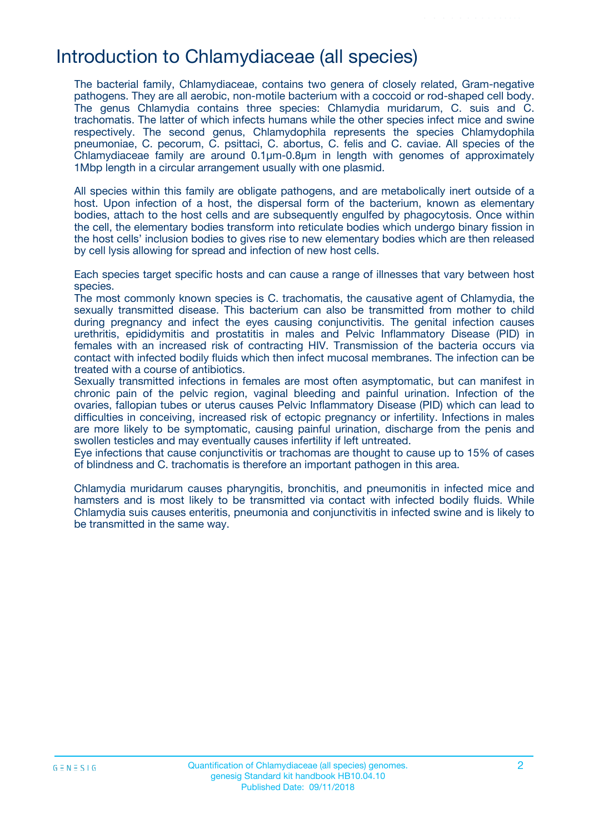## Introduction to Chlamydiaceae (all species)

The bacterial family, Chlamydiaceae, contains two genera of closely related, Gram-negative pathogens. They are all aerobic, non-motile bacterium with a coccoid or rod-shaped cell body. The genus Chlamydia contains three species: Chlamydia muridarum, C. suis and C. trachomatis. The latter of which infects humans while the other species infect mice and swine respectively. The second genus, Chlamydophila represents the species Chlamydophila pneumoniae, C. pecorum, C. psittaci, C. abortus, C. felis and C. caviae. All species of the Chlamydiaceae family are around 0.1µm-0.8µm in length with genomes of approximately 1Mbp length in a circular arrangement usually with one plasmid.

All species within this family are obligate pathogens, and are metabolically inert outside of a host. Upon infection of a host, the dispersal form of the bacterium, known as elementary bodies, attach to the host cells and are subsequently engulfed by phagocytosis. Once within the cell, the elementary bodies transform into reticulate bodies which undergo binary fission in the host cells' inclusion bodies to gives rise to new elementary bodies which are then released by cell lysis allowing for spread and infection of new host cells.

Each species target specific hosts and can cause a range of illnesses that vary between host species.

The most commonly known species is C. trachomatis, the causative agent of Chlamydia, the sexually transmitted disease. This bacterium can also be transmitted from mother to child during pregnancy and infect the eyes causing conjunctivitis. The genital infection causes urethritis, epididymitis and prostatitis in males and Pelvic Inflammatory Disease (PID) in females with an increased risk of contracting HIV. Transmission of the bacteria occurs via contact with infected bodily fluids which then infect mucosal membranes. The infection can be treated with a course of antibiotics.

Sexually transmitted infections in females are most often asymptomatic, but can manifest in chronic pain of the pelvic region, vaginal bleeding and painful urination. Infection of the ovaries, fallopian tubes or uterus causes Pelvic Inflammatory Disease (PID) which can lead to difficulties in conceiving, increased risk of ectopic pregnancy or infertility. Infections in males are more likely to be symptomatic, causing painful urination, discharge from the penis and swollen testicles and may eventually causes infertility if left untreated.

Eye infections that cause conjunctivitis or trachomas are thought to cause up to 15% of cases of blindness and C. trachomatis is therefore an important pathogen in this area.

Chlamydia muridarum causes pharyngitis, bronchitis, and pneumonitis in infected mice and hamsters and is most likely to be transmitted via contact with infected bodily fluids. While Chlamydia suis causes enteritis, pneumonia and conjunctivitis in infected swine and is likely to be transmitted in the same way.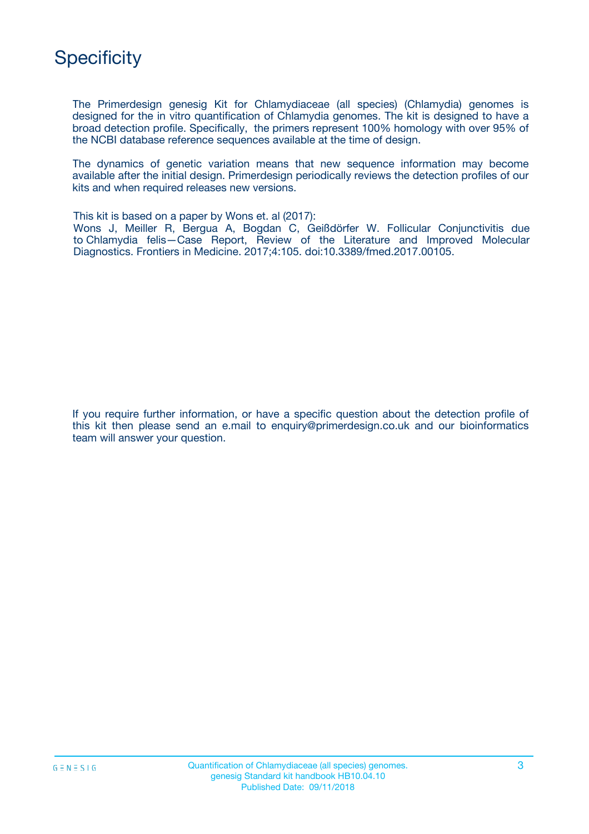

The Primerdesign genesig Kit for Chlamydiaceae (all species) (Chlamydia) genomes is designed for the in vitro quantification of Chlamydia genomes. The kit is designed to have a broad detection profile. Specifically, the primers represent 100% homology with over 95% of the NCBI database reference sequences available at the time of design.

The dynamics of genetic variation means that new sequence information may become available after the initial design. Primerdesign periodically reviews the detection profiles of our kits and when required releases new versions.

This kit is based on a paper by Wons et. al (2017):

Wons J, Meiller R, Bergua A, Bogdan C, Geißdörfer W. Follicular Conjunctivitis due to Chlamydia felis—Case Report, Review of the Literature and Improved Molecular Diagnostics. Frontiers in Medicine. 2017;4:105. doi:10.3389/fmed.2017.00105.

If you require further information, or have a specific question about the detection profile of this kit then please send an e.mail to enquiry@primerdesign.co.uk and our bioinformatics team will answer your question.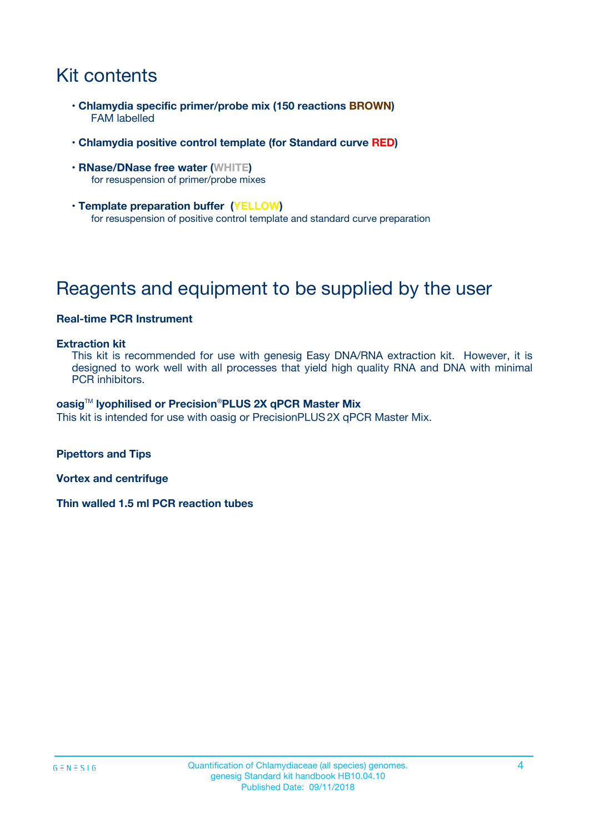# Kit contents

- **Chlamydia specific primer/probe mix (150 reactions BROWN)** FAM labelled
- **Chlamydia positive control template (for Standard curve RED)**
- **RNase/DNase free water (WHITE)** for resuspension of primer/probe mixes
- **Template preparation buffer (YELLOW)** for resuspension of positive control template and standard curve preparation

# Reagents and equipment to be supplied by the user

#### **Real-time PCR Instrument**

#### **Extraction kit**

This kit is recommended for use with genesig Easy DNA/RNA extraction kit. However, it is designed to work well with all processes that yield high quality RNA and DNA with minimal PCR inhibitors.

#### **oasig**TM **lyophilised or Precision**®**PLUS 2X qPCR Master Mix**

This kit is intended for use with oasig or PrecisionPLUS2X qPCR Master Mix.

**Pipettors and Tips**

**Vortex and centrifuge**

**Thin walled 1.5 ml PCR reaction tubes**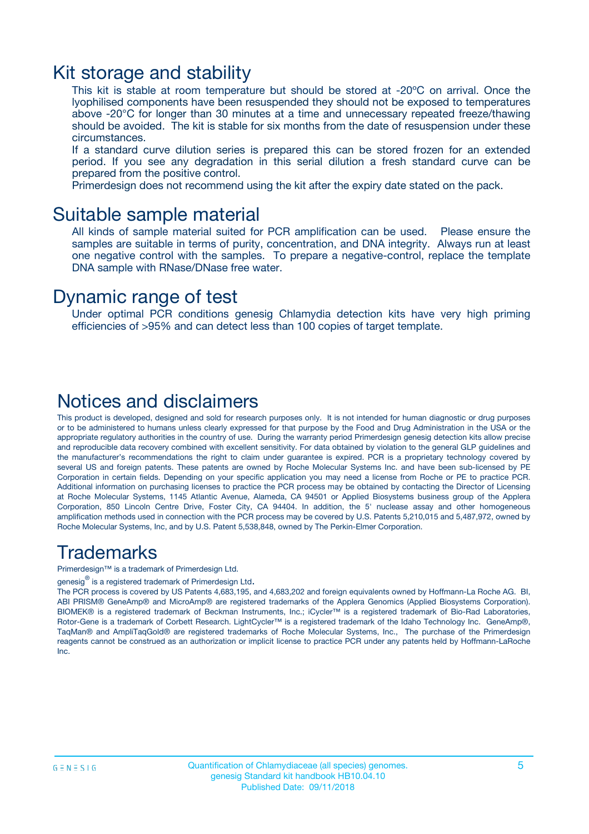### Kit storage and stability

This kit is stable at room temperature but should be stored at -20ºC on arrival. Once the lyophilised components have been resuspended they should not be exposed to temperatures above -20°C for longer than 30 minutes at a time and unnecessary repeated freeze/thawing should be avoided. The kit is stable for six months from the date of resuspension under these circumstances.

If a standard curve dilution series is prepared this can be stored frozen for an extended period. If you see any degradation in this serial dilution a fresh standard curve can be prepared from the positive control.

Primerdesign does not recommend using the kit after the expiry date stated on the pack.

### Suitable sample material

All kinds of sample material suited for PCR amplification can be used. Please ensure the samples are suitable in terms of purity, concentration, and DNA integrity. Always run at least one negative control with the samples. To prepare a negative-control, replace the template DNA sample with RNase/DNase free water.

### Dynamic range of test

Under optimal PCR conditions genesig Chlamydia detection kits have very high priming efficiencies of >95% and can detect less than 100 copies of target template.

### Notices and disclaimers

This product is developed, designed and sold for research purposes only. It is not intended for human diagnostic or drug purposes or to be administered to humans unless clearly expressed for that purpose by the Food and Drug Administration in the USA or the appropriate regulatory authorities in the country of use. During the warranty period Primerdesign genesig detection kits allow precise and reproducible data recovery combined with excellent sensitivity. For data obtained by violation to the general GLP guidelines and the manufacturer's recommendations the right to claim under guarantee is expired. PCR is a proprietary technology covered by several US and foreign patents. These patents are owned by Roche Molecular Systems Inc. and have been sub-licensed by PE Corporation in certain fields. Depending on your specific application you may need a license from Roche or PE to practice PCR. Additional information on purchasing licenses to practice the PCR process may be obtained by contacting the Director of Licensing at Roche Molecular Systems, 1145 Atlantic Avenue, Alameda, CA 94501 or Applied Biosystems business group of the Applera Corporation, 850 Lincoln Centre Drive, Foster City, CA 94404. In addition, the 5' nuclease assay and other homogeneous amplification methods used in connection with the PCR process may be covered by U.S. Patents 5,210,015 and 5,487,972, owned by Roche Molecular Systems, Inc, and by U.S. Patent 5,538,848, owned by The Perkin-Elmer Corporation.

### Trademarks

Primerdesign™ is a trademark of Primerdesign Ltd.

genesig $^\circledR$  is a registered trademark of Primerdesign Ltd.

The PCR process is covered by US Patents 4,683,195, and 4,683,202 and foreign equivalents owned by Hoffmann-La Roche AG. BI, ABI PRISM® GeneAmp® and MicroAmp® are registered trademarks of the Applera Genomics (Applied Biosystems Corporation). BIOMEK® is a registered trademark of Beckman Instruments, Inc.; iCycler™ is a registered trademark of Bio-Rad Laboratories, Rotor-Gene is a trademark of Corbett Research. LightCycler™ is a registered trademark of the Idaho Technology Inc. GeneAmp®, TaqMan® and AmpliTaqGold® are registered trademarks of Roche Molecular Systems, Inc., The purchase of the Primerdesign reagents cannot be construed as an authorization or implicit license to practice PCR under any patents held by Hoffmann-LaRoche Inc.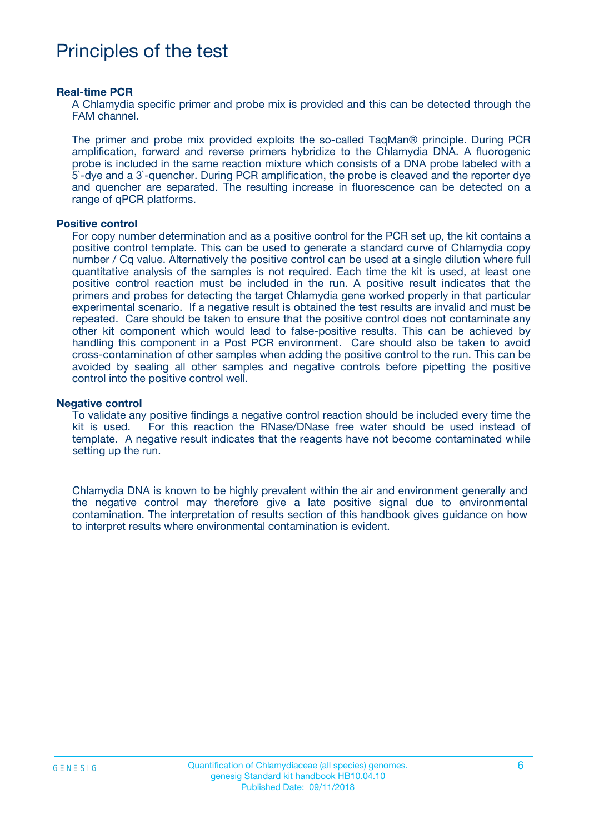## Principles of the test

#### **Real-time PCR**

A Chlamydia specific primer and probe mix is provided and this can be detected through the FAM channel.

The primer and probe mix provided exploits the so-called TaqMan® principle. During PCR amplification, forward and reverse primers hybridize to the Chlamydia DNA. A fluorogenic probe is included in the same reaction mixture which consists of a DNA probe labeled with a 5`-dye and a 3`-quencher. During PCR amplification, the probe is cleaved and the reporter dye and quencher are separated. The resulting increase in fluorescence can be detected on a range of qPCR platforms.

#### **Positive control**

For copy number determination and as a positive control for the PCR set up, the kit contains a positive control template. This can be used to generate a standard curve of Chlamydia copy number / Cq value. Alternatively the positive control can be used at a single dilution where full quantitative analysis of the samples is not required. Each time the kit is used, at least one positive control reaction must be included in the run. A positive result indicates that the primers and probes for detecting the target Chlamydia gene worked properly in that particular experimental scenario. If a negative result is obtained the test results are invalid and must be repeated. Care should be taken to ensure that the positive control does not contaminate any other kit component which would lead to false-positive results. This can be achieved by handling this component in a Post PCR environment. Care should also be taken to avoid cross-contamination of other samples when adding the positive control to the run. This can be avoided by sealing all other samples and negative controls before pipetting the positive control into the positive control well.

#### **Negative control**

To validate any positive findings a negative control reaction should be included every time the kit is used. For this reaction the RNase/DNase free water should be used instead of template. A negative result indicates that the reagents have not become contaminated while setting up the run.

Chlamydia DNA is known to be highly prevalent within the air and environment generally and the negative control may therefore give a late positive signal due to environmental contamination. The interpretation of results section of this handbook gives guidance on how to interpret results where environmental contamination is evident.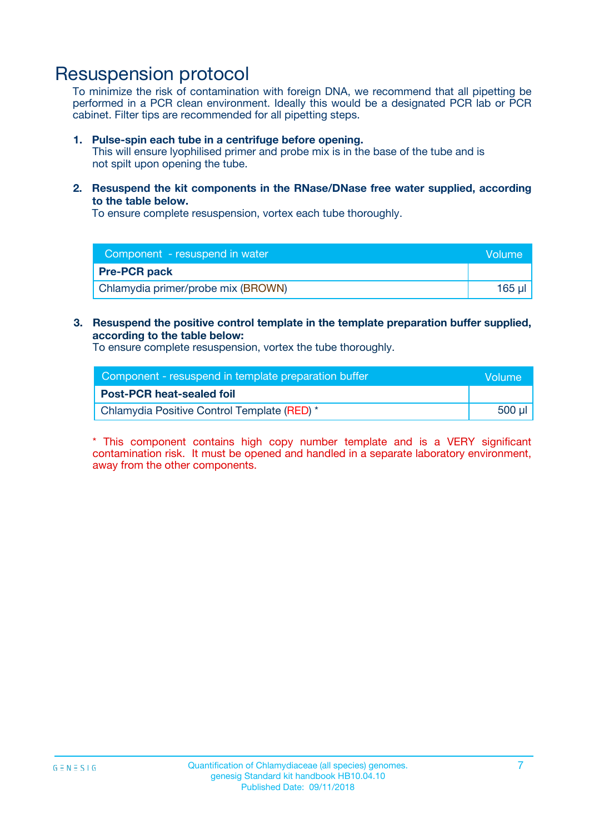## Resuspension protocol

To minimize the risk of contamination with foreign DNA, we recommend that all pipetting be performed in a PCR clean environment. Ideally this would be a designated PCR lab or PCR cabinet. Filter tips are recommended for all pipetting steps.

#### **1. Pulse-spin each tube in a centrifuge before opening.**

This will ensure lyophilised primer and probe mix is in the base of the tube and is not spilt upon opening the tube.

**2. Resuspend the kit components in the RNase/DNase free water supplied, according to the table below.**

To ensure complete resuspension, vortex each tube thoroughly.

| Component - resuspend in water     | Volume |
|------------------------------------|--------|
| <b>Pre-PCR pack</b>                |        |
| Chlamydia primer/probe mix (BROWN) | 165 µl |

### **3. Resuspend the positive control template in the template preparation buffer supplied, according to the table below:**

To ensure complete resuspension, vortex the tube thoroughly.

| Component - resuspend in template preparation buffer | <b>Nolume</b> |
|------------------------------------------------------|---------------|
| <b>Post-PCR heat-sealed foil</b>                     |               |
| Chlamydia Positive Control Template (RED) *          | 500 µl        |

\* This component contains high copy number template and is a VERY significant contamination risk. It must be opened and handled in a separate laboratory environment, away from the other components.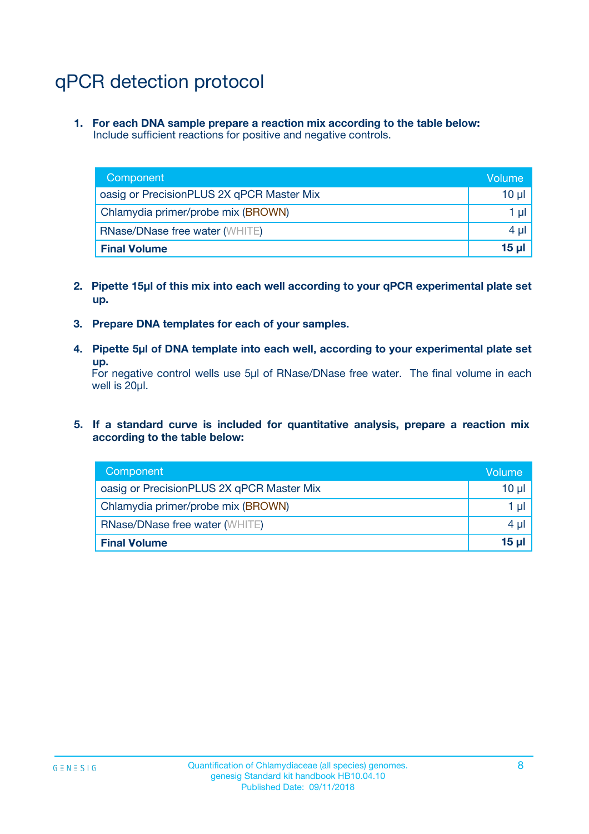# qPCR detection protocol

**1. For each DNA sample prepare a reaction mix according to the table below:** Include sufficient reactions for positive and negative controls.

| Component                                 | Volume           |
|-------------------------------------------|------------------|
| oasig or PrecisionPLUS 2X qPCR Master Mix | 10 $\mu$         |
| Chlamydia primer/probe mix (BROWN)        | 1 $\mu$          |
| <b>RNase/DNase free water (WHITE)</b>     | $4 \mu$          |
| <b>Final Volume</b>                       | 15 <sub>ul</sub> |

- **2. Pipette 15µl of this mix into each well according to your qPCR experimental plate set up.**
- **3. Prepare DNA templates for each of your samples.**
- **4. Pipette 5µl of DNA template into each well, according to your experimental plate set up.**

For negative control wells use 5µl of RNase/DNase free water. The final volume in each well is 20µl.

**5. If a standard curve is included for quantitative analysis, prepare a reaction mix according to the table below:**

| Component                                 | Volume     |
|-------------------------------------------|------------|
| oasig or PrecisionPLUS 2X qPCR Master Mix | $10 \mu$   |
| Chlamydia primer/probe mix (BROWN)        | 1 µI       |
| <b>RNase/DNase free water (WHITE)</b>     | $4 \mu$    |
| <b>Final Volume</b>                       | $15$ $\mu$ |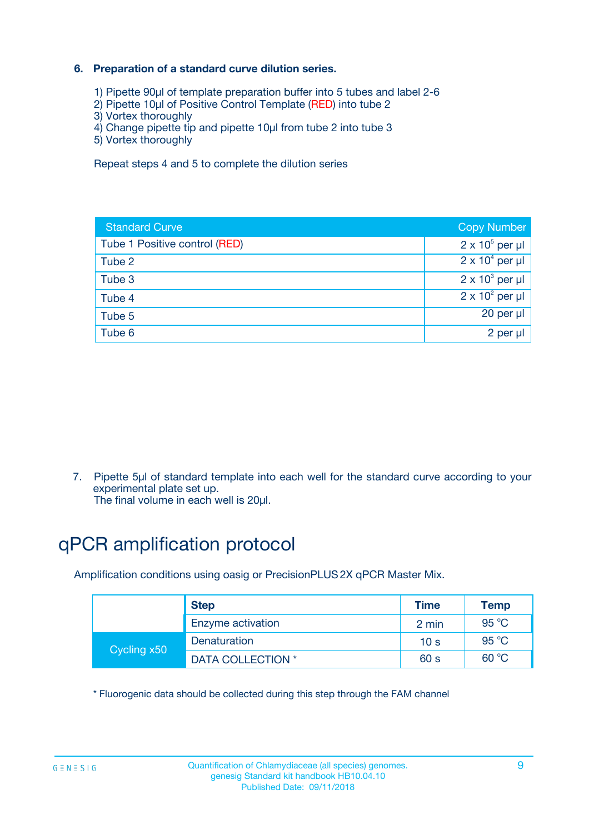### **6. Preparation of a standard curve dilution series.**

- 1) Pipette 90µl of template preparation buffer into 5 tubes and label 2-6
- 2) Pipette 10µl of Positive Control Template (RED) into tube 2
- 3) Vortex thoroughly
- 4) Change pipette tip and pipette 10µl from tube 2 into tube 3
- 5) Vortex thoroughly

Repeat steps 4 and 5 to complete the dilution series

| <b>Standard Curve</b>         | <b>Copy Number</b>     |
|-------------------------------|------------------------|
| Tube 1 Positive control (RED) | $2 \times 10^5$ per µl |
| Tube 2                        | $2 \times 10^4$ per µl |
| Tube 3                        | $2 \times 10^3$ per µl |
| Tube 4                        | $2 \times 10^2$ per µl |
| Tube 5                        | 20 per µl              |
| Tube 6                        | $2$ per $\mu$          |

7. Pipette 5µl of standard template into each well for the standard curve according to your experimental plate set up.

The final volume in each well is 20µl.

# qPCR amplification protocol

Amplification conditions using oasig or PrecisionPLUS2X qPCR Master Mix.

|             | <b>Step</b>       | <b>Time</b>     | <b>Temp</b>    |
|-------------|-------------------|-----------------|----------------|
|             | Enzyme activation | 2 min           | $95^{\circ}$ C |
| Cycling x50 | Denaturation      | 10 <sub>s</sub> | 95 $°C$        |
|             | DATA COLLECTION * | 60 s            | 60 °C          |

\* Fluorogenic data should be collected during this step through the FAM channel